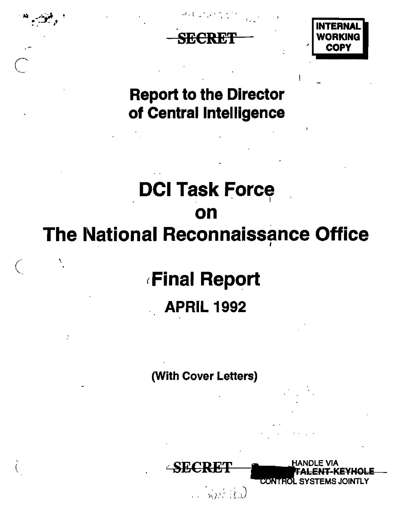

Report to the Director of Central Intelligence

## **DCI Task Force** on The National Reconnaissance Office

# (Final Report APRIL 1992

 $\big($ 

'.

'. ( (With Cover Letters)

**SECRET** 

eoxitedL EMS JOINTLY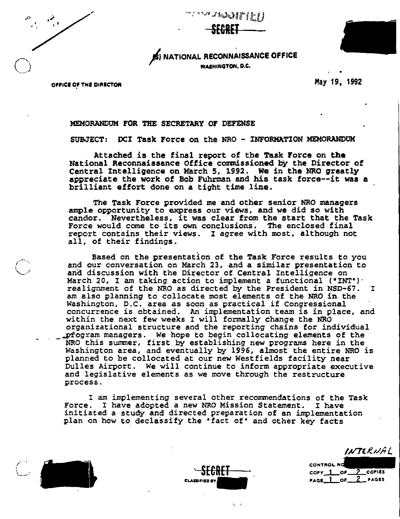| $\mathcal{L}$<br>¥<br>٠ | ¥ |  |
|-------------------------|---|--|
|                         |   |  |
|                         |   |  |





OFFICE OF THE DIRECTOR

• May 19, 1992

### MEMORANDUM FOR THE SECRETARY OF DEFENSE

SUBJECT: DCI Task Force on the NRO - INFORMATION MEMORANDOK

Attached is the final report of the Task Force on **the** National Reconnaissance Office commissioned by the Director of Central Intelligence on March 5, 1992. We in the NRO greatly appreciate the work of Bob Fuhrman and his task force--it was a brilliant effort done on a tight time line.

The Task Force provided me and other senior NRO managers ample opportunity to express our views, and we did so with candor. Nevertheless, it was clear from the start that the Task Force would come to its own conclusions. The enclosed final report contains their views. I agree with most, although not all, of their findings.

Based on the presentation of the Task Force results to you and our conversation on March 23, and <sup>a</sup> similar presentation to and discussion with the Director of Central Intelligence on March 20, I am taking action to implement a functional  $($  "INT" $)$ . realignment of the NRO as directed by the President in NSD-67. I am also planning to collocate most elements of the NRO in the Washington, D.C. area as soon as practical if Congressional concurrence is obtained. An implementation team is in place, and within the next few weeks I will formally change the NRO organizational structure and the reporting chains for individual \_,-Ptogram managers. We hope to begin collocating elements of the NRO this summer, first by establishing new programs here in the Washington area, and eventually by 1996, almost the entire NRO is planned to be collocated at our new Westfields facility near Dulles Airport. We will continue to inform appropriate executive and legislative elements as we move through the restructure process.

I am implementing several other recommendations of the Task Force. I have adopted a new NRO Mission Statement. I have initiated a study and directed preparation of an implementation plan on how to declassify the "fact of" and other key facts





.~ ".

INTERNAL

**CONTROL NO**  $\frac{1}{PAGE}$  of  $\frac{2}{2}$  copies  $PAGE\_1$  of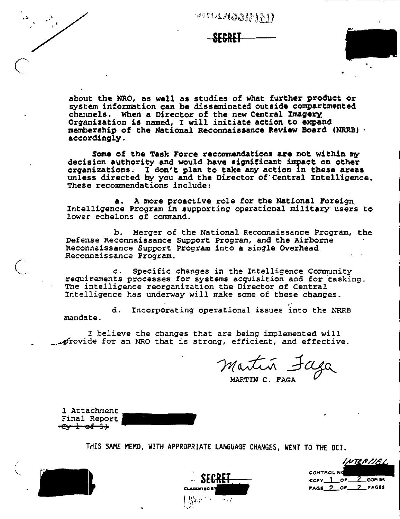| ٠<br>¢. |  |
|---------|--|
|         |  |
|         |  |



about the NRO, as well as studies of what further product or system information can be disseminated outside compartmented channels. When a Director of the new Central Imagery Organization is named, I will initiate action to expand membership of the National Reconnaissance Review Board (NRRB) . accordingly.

Some of the Task Force recommendations are not within my decision authority and would have significant impact on other organizations. I don't plan to take any action in these areas<br>unless directed by you and the Director of Central Intelligence. These recommendations include:

a. A more proactive role for the National Foreign Intelligence Program in supporting operational military users to lower echelons of command.

b. Merger of the National Reconnaissance Program, the Defense Reconnaissance Support Program, and the Airborne Reconnaissance Support Program into a single Overhead Reconnaissance Program.

c. Specific changes in the Intelligence Community requirements processes for systems acquisition and for tasking. The intelligence reorganization the Director of Central Intelligence has underway will make some of these changes.

Incorporating operational issues into the NRRB d. mandate.

I believe the changes that are being implemented will provide for an NRO that is strong, efficient, and effective.

Martin Faga

1 Attachment Final Report <del>-Cy-1-0£-3)</del>

THIS SAME MEMO, WITH APPROPRIATE LANGUAGE CHANGES, WENT TO THE DCI.

HTERIJE I **CONTROL NO**  $corr_0 - 1 - or_$  $COP($ PAGE 2 OF 2 FAGES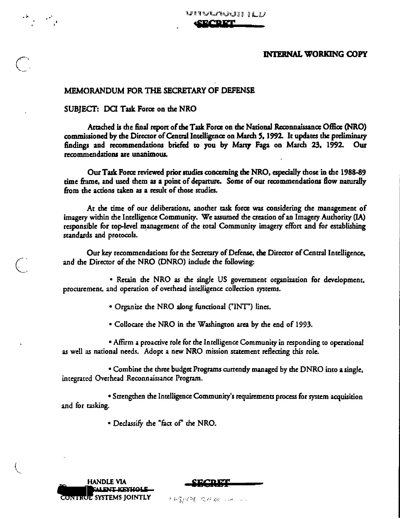₩₽₩₩₩₩₩₩₩₩₽₩ **TOPT** 

### **INTERNAL WORKING COPY**

### MEMORANDUM FOR THE SECRETARY OF DEFENSE

### SUBJECT: DCI Task Force on the NRO

 $\mathcal{L} = \mathcal{L}$ 

Attached is the final report of the Task Force on the National Reconnaissance Office (NRO) commissioned by the Director of Central Intelligence on March 5, 1992. It updates the preliminary findings and recommendations briefed to you by Marty Faga on March 23, 1992. Our recommendations are unanimous.

Our Task Force reviewed prior studies concerning the NRO, especially those in the 1988-89 time frame, and used them as a point of departure. Some of our recommendations flow naturally from the actions taken as a result of those studies.

At the time of our deliberations, another task force was considering the management of imagery within the Intelligence Community. We assumed the creation of an Imagery Authority (IA) responsible for top-level management of the total Community imagery effort and for establishing standards and protocols.

Our key recommendations for the Secretary of Defense, the Director of Central Intelligence, and the Director of the NRO (DNRO) include the following:

• Retain the NRO as the single US government organization for development, procurement, and operation of overhead intelligence collection systems.

• Organize the NRO along functional ("INT") lines.

• Collocare the NRO in the Washington area by the end of 1993.

• Affirm a proactive role for the Intelligence Community in responding to operational as well as national needs. Adopt a new NRO mission statement reflecting this role.

• Combine the three budget Programs currently managed by the DNRO into a single, integrated Overhead Reconnaissance Program.

· Strengthen the Intelligence Community's requirements process for system acquisition and for tasking.

. Declassify the "fact of" the NRO.

| <b>HANDLE VIA</b>              |
|--------------------------------|
| <b>BALENT KEYHOLE</b>          |
| <b>CONTRUE SYSTEMS JOINTLY</b> |

机硫化矿 电传输 一种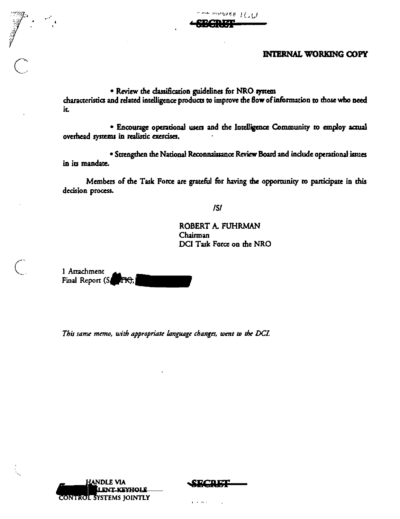$-$  overseas  $\mathbb{R}$  . The  $\mathbb{R}$ 

### **INTERNAL WORKING COPY**

· Review the classification guidelines for NRO system characteristics and related intelligence products to improve the flow of information to those who need it.

· Encourage operational users and the Intelligence Community to employ actual overhead systems in realistic exercises.

· Strengthen the National Reconnaissance Review Board and include operational issues in its mandate.

Members of the Task Force are grateful for having the opportunity to participate in this decision process.

 $ISI$ 

ROBERT A. FUHRMAN Chairman DCI Task Force on the NRO

1 Attachment Final Report (S. TK).

 $\begin{matrix} 1 & 1 \\ 1 & 1 \end{matrix}$ 

This same memo, with appropriate language changes, went to the DCI.



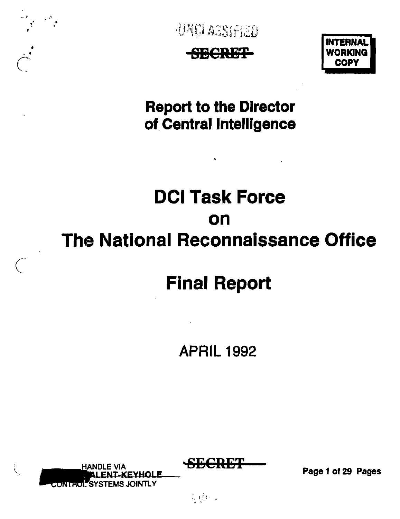

 $\overline{C}$ 

UNCLASSIFIED





**Report to the Director** of Central Intelligence

# **Del Task Force on The National Reconnaissance Office**

## **Final Report**

### APRIL 1992

**KEXHOLE** CONTHOL SYSTEMS JOINTLY

Page 1 of 29 Pages

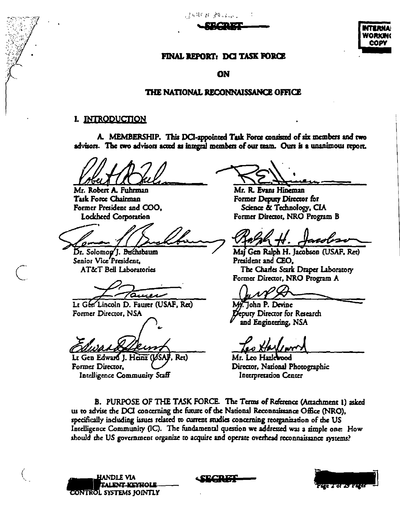,就好好! \$P\$ ( ) \$P\$ ( ) ;



### FINAL REPORT: DCI TASK FORCE

ON

### THE NATIONAL RECONNAISSANCE OFFICE

### I. INTRODUCTION

A. MEMBERSHIP. This DCI-appointed Task Force consisted of six members and two advisors. The two advisors acted as integral members of our team. Ours is a unanimous report.

Mr. Robert A. Fuhrman **Task Force Chairman** Former President and COO. **Lockheed Corporation** 

Dr. Solomog']. Buchsbaum Senior Vice President. **AT&T Bell Laboratories** 

auer

Lt Gen Lincoln D. Faurer (USAF, Ret) Former Director, NSA

Lt Gen Edward J. Heinz (US Ret) Former Director, Intelligence Community Staff

Mr. R. Evans Hineman Former Deputy Director for Science & Technology, CIA Former Director, NRO Program B

Maj Gen Ralph H. Jacobson (USAF, Ret) President and CEO. The Charles Scark Draper Laboratory Former Director, NRO Program A

John P. Devine eputy Director for Research and Engineering, NSA

Mr. Leo Hazlewood Director, National Photographic Interpretation Center

B. PURPOSE OF THE TASK FORCE. The Terms of Reference (Attachment 1) asked us to advise the DCI concerning the future of the National Reconnaissance Office (NRO), specifically including issues related to current studies concerning reorganization of the US Intelligence Community (IC). The fundamental question we addressed was a simple one: How should the US government organize to acquire and operate overhead reconnaissance systems?



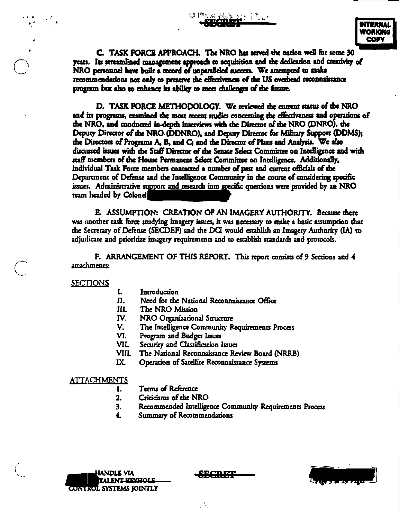OPTOM ANDES PL

**NTERNAL** WORKING **COPY** 

C. TASK FORCE APPROACH. The NRO has served the nation well for some 30 years. Its streamlined management approach to acquisition and the dedication and creativity of NRO personnel have built a record of unparalleled success. We attempted to make recommendations not only to preserve the effectiveness of the US overhead reconnaissance program but also to enhance its ability to meet challenges of the future.

D. TASK FORCE METHODOLOGY. We reviewed the current status of the NRO and its programs, examined the most recent studies concerning the effectiveness and operations of the NRO, and conducted in-depth interviews with the Director of the NRO (DNRO), the Deputy Director of the NRO (DDNRO), and Deputy Director for Military Support (DDMS); the Directors of Programs A, B, and C; and the Director of Plans and Analysis. We also discussed issues with the Staff Director of the Senate Select Committee on Intelligence and with staff members of the House Permanent Select Committee on Intelligence. Additionally, individual Task Force members contacted a number of past and current officials of the Department of Defense and the Intelligence Community in the course of considering specific issues. Administrative support and research into specific questions were provided by an NRO team headed by Colonel

E. ASSUMPTION: CREATION OF AN IMAGERY AUTHORITY. Because there was another task force studying imagery issues, it was necessary to make a basic assumption that the Secretary of Defense (SECDEF) and the DCI would establish an Imagery Authority (IA) to adjudicate and prioritize imagery requirements and to establish standards and protocols.

F. ARRANGEMENT OF THIS REPORT. This report consists of 9 Sections and 4 attachments:

**SECTIONS** 

- L Introduction
- Need for the National Reconnaissance Office II.
- III. The NRO Mission
- IV. NRO Organizational Structure
- $\mathbf{V}$ . The Intelligence Community Requirements Process
- VI. Program and Budget Issues
- VII. Security and Classification Issues
- VIII. The National Reconnaissance Review Board (NRRB)
- $\mathbf{IX}$ Operation of Satellite Reconnaissance Systems

#### **ATTACHMENTS**

- Terms of Reference 1.
- 2. Criticisms of the NRO
- Recommended Intelligence Community Requirements Process 3.
- $\overline{\mathbf{4}}$ . Summary of Recommendations



-9MCR.ISE

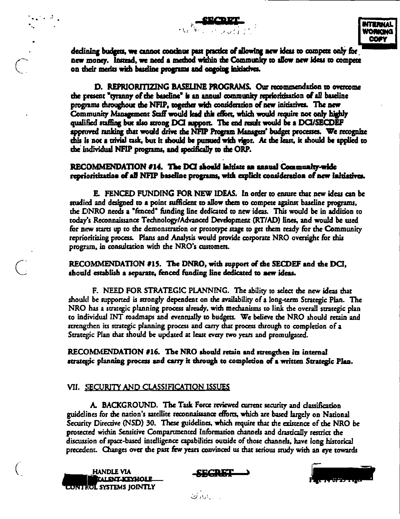declining budgets, we cannot continue part practice of allowing new ideas to compete only for new money. Instead, we need a method wishin the Community to allow new ideas to compete on their merks with baseline programs and ongoing initiatives.

D. REPRIORITIZING BASELINE PROGRAMS. Our recommendation to overcome the present "tyranny of the baseline" is an annual community reprioritization of all baseline programs throughout the NFIP, together with consideration of new initiatives. The new Community Management Staff would lead this effort, which would require not only highly qualified staffing but also strong DCI support. The end result would be a DCI/SECDEF approved ranking that would drive the NFIP Program Managers' budget processes. We recognize this is not a trivial task, but it should be pursued with vigor. At the least, it should be applied to the individual NFIP programs, and specifically to the ORP.

### RECOMMENDATION #14. The DCI should initiate an annual Community-wide reprioritization of all NFIP baseline programs, with explicit consideration of new initiatives.

E. FENCED FUNDING FOR NEW IDEAS. In order to ensure that new ideas can be studied and designed to a point sufficient to allow them to compete against baseline programs, the DNRO needs a "fenced" funding line dedicated to new ideas. This would be in addition to today's Reconnaissance Technology/Advanced Development (RT/AD) lines, and would be used for new starts up to the demonstration or prototype stage to get them ready for the Community reprioritizing process. Plans and Analysis would provide corporate NRO oversight for this program, in consultation with the NRO's customers.

### RECOMMENDATION #15. The DNRO, with support of the SECDEF and the DCI, should establish a separate, fenced funding line dedicated to new ideas.

F. NEED FOR STRATEGIC PLANNING. The ability to select the new ideas that should be supported is strongly dependent on the availability of a long-term Strategic Plan. The NRO has a strategic planning process already, with mechanisms to link the overall strategic plan to individual INT roadmaps and eventually to budgets. We believe the NRO should retain and strengthen its strategic planning process and carry that process through to completion of a Strategic Plan that should be updated at least every two years and promulgated.

RECOMMENDATION #16. The NRO should retain and strengthen its internal strategic planning process and carry it through to completion of a written Strategic Plan.

### VII. SECURITY AND CLASSIFICATION ISSUES

A. BACKGROUND. The Task Force reviewed current security and classification guidelines for the nation's satellite reconnaissance efforts, which are based largely on National Security Directive (NSD) 30. These guidelines, which require that the existence of the NRO be protected within Sensitive Compartmented Information channels and drastically restrict the discussion of space-based intelligence capabilities outside of those channels, have long historical precedent. Changes over the past few years convinced us that serious study with an eye towards

**HANDLE VIA EALENT-KEYHOLE** CONTROL SYSTEMS JOINTLY

 $\mathcal{L}_{\mathbf{z}}$  , and  $\mathcal{L}_{\mathbf{z}}$ 





ر ساندار ن<sup>س</sup>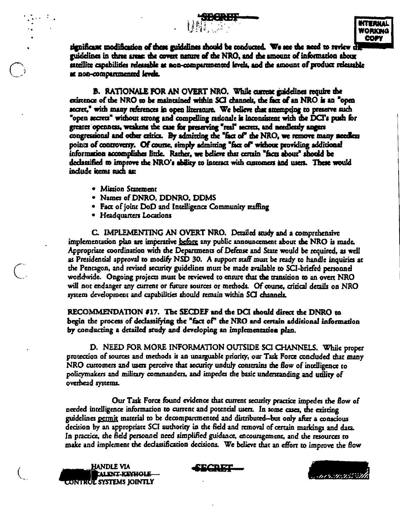

significant modification of these guidelines should be conducted. We see the need to review  $d\mathbf{l}$ guidelines in three areas the covert nature of the NRO, and the amount of information abour satellite capabilities releasable at non-comparimented levels, and the amount of product releasable at non-compartmented levels.

**B. RATIONALE FOR AN OVERT NRO. While current guidelines require the** existence of the NRO to be maintained within SCI channels, the fact of an NRO is an "open secret," with many references in open literature. We believe that attempting to preserve such "open secrets" without strong and compelling rationale is inconsistent with the DCI's push for greater openness, weakens the case for preserving "real" secrets, and needlessly angers congressional and other critics. By admixting the "fact of" the NRO, we remove many needless points of controversy. Of course, simply admitting "fact of" without providing additional information accomplishes little. Rather, we believe that certain "facts about" should be declassified to improve the NRO's ability to interact with customers and users. These would indude items such as:

- Mission Statement
- Names of DNRO, DDNRO, DDMS
- Fact of joint DoD and Intelligence Community staffing
- Headquarters Locations

C. IMPLEMENTING AN OVERT NRO. Detailed andy and a comprehensive implementation plan are imperative before any public announcement about the NRO is made. Appropriate coordination with the Departments of Defense and State would be required, as well as Presidential approval to modify NSD 30. A support staff must be ready to handle inquiries at the Pentagon, and revised security guidelines must be made available to SCI-briefed personnel worldwide. Ongoing projects must be reviewed to ensure that the transition to an overt NRO will not endanger any current or future sources or methods. Of course, critical details on NRO system development and capabilities should remain within SCI channels.

RECOMMENDATION #17. The SECDEF and the DCI should direct the DNRO to begin the process of declassifying the "fact of" the NRO and certain additional information by conducting a detailed study and developing an implementation plan.

D. NEED FOR MORE INFORMATION OUTSIDE SCI CHANNELS. While proper protection of sources and methods is an unarguable priority, our Task Force concluded that many NRO customers and users perceive that security unduly constrains the flow of intelligence to policymakers and military commanders, and impedes the basic understanding and utility of overhead systems.

Our Task Force found evidence that current security practice impedes the flow of needed intelligence information to current and potential users. In some cases, the existing guidelines permit material to be decompartmented and distributed-but only after a conscious decision by an appropriate SCI authority in the field and removal of certain markings and data. In practice, the field personnel need simplified guidance, encouragement, and the resources to make and implement the declassification decisions. We believe that an effort to improve the flow

**HANDLE VIA ALINT-KEYHOLE** CONTRUE SYSTEMS JOINTLY





 $\frac{1}{2}$  ,  $\frac{1}{2}$  ,  $\frac{1}{2}$